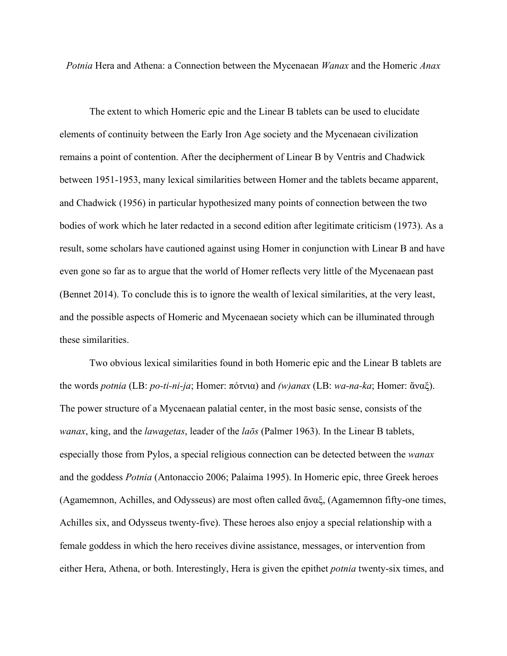*Potnia* Hera and Athena: a Connection between the Mycenaean *Wanax* and the Homeric *Anax*

The extent to which Homeric epic and the Linear B tablets can be used to elucidate elements of continuity between the Early Iron Age society and the Mycenaean civilization remains a point of contention. After the decipherment of Linear B by Ventris and Chadwick between 1951-1953, many lexical similarities between Homer and the tablets became apparent, and Chadwick (1956) in particular hypothesized many points of connection between the two bodies of work which he later redacted in a second edition after legitimate criticism (1973). As a result, some scholars have cautioned against using Homer in conjunction with Linear B and have even gone so far as to argue that the world of Homer reflects very little of the Mycenaean past (Bennet 2014). To conclude this is to ignore the wealth of lexical similarities, at the very least, and the possible aspects of Homeric and Mycenaean society which can be illuminated through these similarities.

Two obvious lexical similarities found in both Homeric epic and the Linear B tablets are the words *potnia* (LB: *po-ti-ni-ja*; Homer: πότνια) and *(w)anax* (LB: *wa-na-ka*; Homer: ἄναξ). The power structure of a Mycenaean palatial center, in the most basic sense, consists of the *wanax*, king, and the *lawagetas*, leader of the *laōs* (Palmer 1963). In the Linear B tablets, especially those from Pylos, a special religious connection can be detected between the *wanax* and the goddess *Potnia* (Antonaccio 2006; Palaima 1995). In Homeric epic, three Greek heroes (Agamemnon, Achilles, and Odysseus) are most often called ἄναξ, (Agamemnon fifty-one times, Achilles six, and Odysseus twenty-five). These heroes also enjoy a special relationship with a female goddess in which the hero receives divine assistance, messages, or intervention from either Hera, Athena, or both. Interestingly, Hera is given the epithet *potnia* twenty-six times, and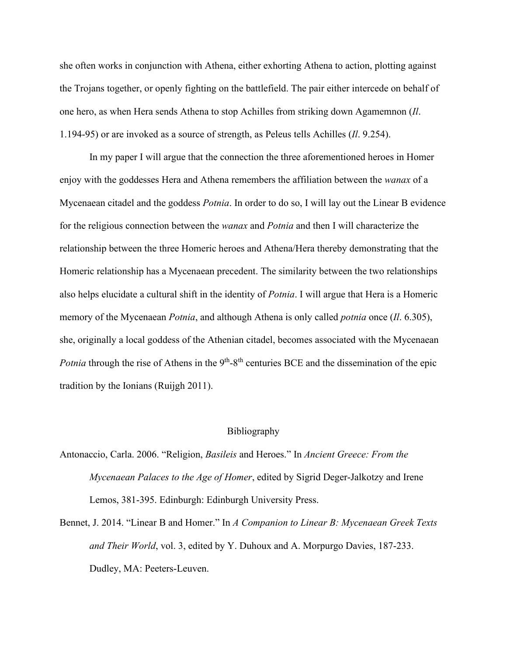she often works in conjunction with Athena, either exhorting Athena to action, plotting against the Trojans together, or openly fighting on the battlefield. The pair either intercede on behalf of one hero, as when Hera sends Athena to stop Achilles from striking down Agamemnon (*Il*. 1.194-95) or are invoked as a source of strength, as Peleus tells Achilles (*Il*. 9.254).

In my paper I will argue that the connection the three aforementioned heroes in Homer enjoy with the goddesses Hera and Athena remembers the affiliation between the *wanax* of a Mycenaean citadel and the goddess *Potnia*. In order to do so, I will lay out the Linear B evidence for the religious connection between the *wanax* and *Potnia* and then I will characterize the relationship between the three Homeric heroes and Athena/Hera thereby demonstrating that the Homeric relationship has a Mycenaean precedent. The similarity between the two relationships also helps elucidate a cultural shift in the identity of *Potnia*. I will argue that Hera is a Homeric memory of the Mycenaean *Potnia*, and although Athena is only called *potnia* once (*Il*. 6.305), she, originally a local goddess of the Athenian citadel, becomes associated with the Mycenaean *Potnia* through the rise of Athens in the 9<sup>th</sup>-8<sup>th</sup> centuries BCE and the dissemination of the epic tradition by the Ionians (Ruijgh 2011).

## Bibliography

- Antonaccio, Carla. 2006. "Religion, *Basileis* and Heroes." In *Ancient Greece: From the Mycenaean Palaces to the Age of Homer*, edited by Sigrid Deger-Jalkotzy and Irene Lemos, 381-395. Edinburgh: Edinburgh University Press.
- Bennet, J. 2014. "Linear B and Homer." In *A Companion to Linear B: Mycenaean Greek Texts and Their World*, vol. 3, edited by Y. Duhoux and A. Morpurgo Davies, 187-233. Dudley, MA: Peeters-Leuven.